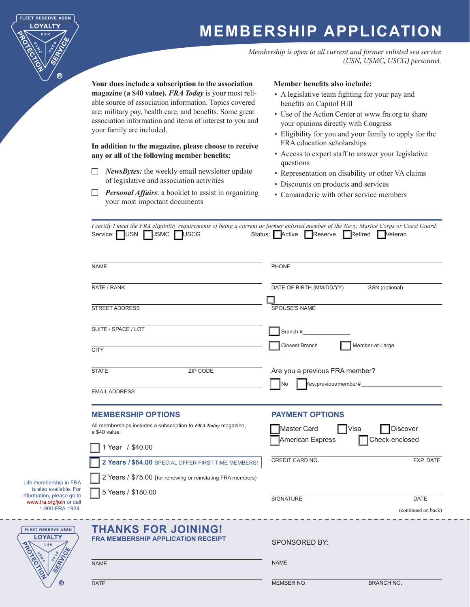# **MEMBERSHIP APPLICATION**

*Membership is open to all current and former enlisted sea service (USN, USMC, USCG) personnel.* 

**Your dues include a subscription to the association magazine (a \$40 value).** *FRA Today* is your most reliable source of association information. Topics covered are: military pay, health care, and benefits. Some great association information and items of interest to you and your family are included.

### **In addition to the magazine, please choose to receive any or all of the following member benefits:**

- *NewsBytes:* the weekly email newsletter update of legislative and association activities
- $\Box$ *Personal Affairs*: a booklet to assist in organizing your most important documents

### **Member benefits also include:**

- A legislative team fighting for your pay and benefits on Capitol Hill
- Use of the Action Center at www.fra.org to share your opinions directly with Congress
- Eligibility for you and your family to apply for the FRA education scholarships
- Access to expert staff to answer your legislative questions
- Representation on disability or other VA claims
- Discounts on products and services
- Camaraderie with other service members

**NAME** RATE / RANK STREET ADDRESS SUITE / SPACE / LOT **CITY** STATE **ZIP CODE** EMAIL ADDRESS **PHONE** DATE OF BIRTH (MM/DD/YY) SSN (optional) SPOUSE'S NAME Branch #\_\_\_\_\_\_\_\_\_\_\_\_\_\_\_\_ Closest Branch Member-at-Large Are you a previous FRA member? No  $\blacksquare$  Yes, previous member# **THANKS FOR JOINING! FRA MEMBERSHIP APPLICATION RECEIPT SPONSORED BY:** *I certify I meet the FRA eligibility requirements of being a current or former enlisted member of the Navy, Marine Corps or Coast Guard.* Service: USN USMC USCG Status: Active Reserve Retired Veteran **MEMBERSHIP OPTIONS** All memberships includes a subscription to *FRA Today* magazine, a \$40 value. 1 Year / \$40.00 **2 Years / \$64.00** SPECIAL OFFER FIRST TIME MEMBERS! 2 Years / \$75.00 (for renewing or reinstating FRA members) 5 Years / \$180.00 **PAYMENT OPTIONS** Master Card | Visa | Discover American Express **Confluent** Check-enclosed CREDIT CARD NO. EXP. DATE SIGNATURE DATE 1-800-FRA-1924. (continued on back)

| <b>NAME</b> |  |
|-------------|--|
|             |  |

Life membership in FRA is also available. For information, please go to www.fra.org/join or call<br>1-800-FRA-1924

FLEET RESERVE ASSN **LOYALTY** 

**FLEET RESERVE ASSN** LOYALTY

൹

NAME